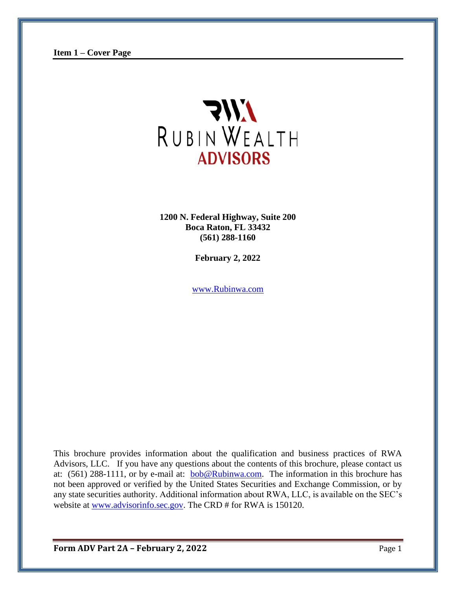

**1200 N. Federal Highway, Suite 200 Boca Raton, FL 33432 (561) 288-1160**

**February 2, 2022**

[www.Rubinwa.com](http://www.rubinwa.com/)

This brochure provides information about the qualification and business practices of RWA Advisors, LLC. If you have any questions about the contents of this brochure, please contact us at:  $(561)$  288-1111, or by e-mail at:  $bob@Rubinwa.com$ . The information in this brochure has</u> not been approved or verified by the United States Securities and Exchange Commission, or by any state securities authority. Additional information about RWA, LLC, is available on the SEC's website at [www.advisorinfo.sec.gov.](http://www.advisorinfo.sec.gov/) The CRD # for RWA is 150120.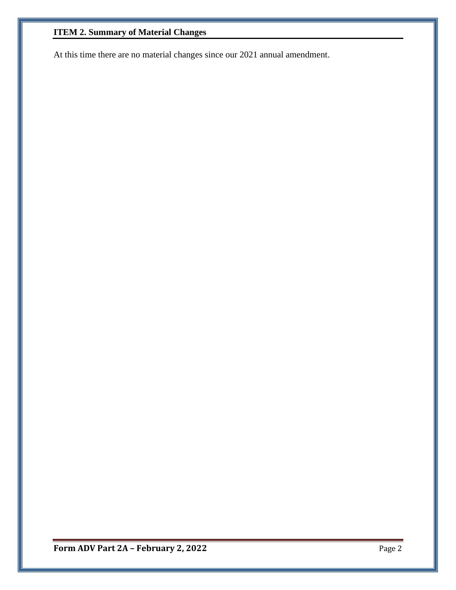## **ITEM 2. Summary of Material Changes**

At this time there are no material changes since our 2021 annual amendment.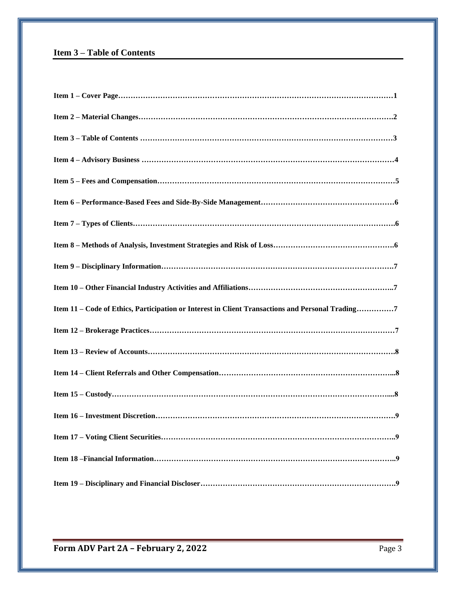## **Item 3 – Table of Contents**

| Item 11 – Code of Ethics, Participation or Interest in Client Transactions and Personal Trading7 |
|--------------------------------------------------------------------------------------------------|
|                                                                                                  |
|                                                                                                  |
|                                                                                                  |
|                                                                                                  |
|                                                                                                  |
|                                                                                                  |
|                                                                                                  |
|                                                                                                  |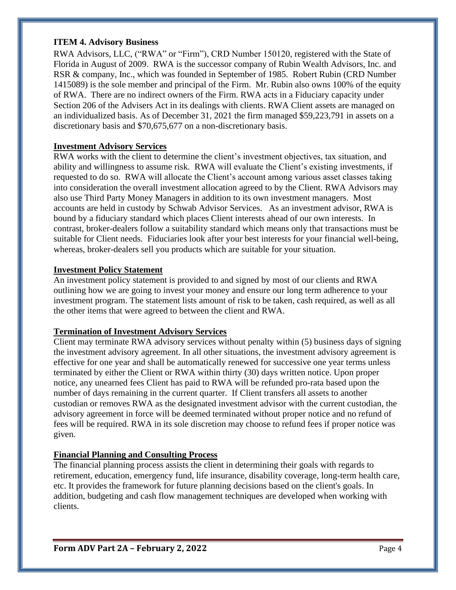#### **ITEM 4. Advisory Business**

RWA Advisors, LLC, ("RWA" or "Firm"), CRD Number 150120, registered with the State of Florida in August of 2009. RWA is the successor company of Rubin Wealth Advisors, Inc. and RSR & company, Inc., which was founded in September of 1985. Robert Rubin (CRD Number 1415089) is the sole member and principal of the Firm. Mr. Rubin also owns 100% of the equity of RWA. There are no indirect owners of the Firm. RWA acts in a Fiduciary capacity under Section 206 of the Advisers Act in its dealings with clients. RWA Client assets are managed on an individualized basis. As of December 31, 2021 the firm managed \$59,223,791 in assets on a discretionary basis and \$70,675,677 on a non-discretionary basis.

#### **Investment Advisory Services**

RWA works with the client to determine the client's investment objectives, tax situation, and ability and willingness to assume risk. RWA will evaluate the Client's existing investments, if requested to do so. RWA will allocate the Client's account among various asset classes taking into consideration the overall investment allocation agreed to by the Client. RWA Advisors may also use Third Party Money Managers in addition to its own investment managers. Most accounts are held in custody by Schwab Advisor Services. As an investment advisor, RWA is bound by a fiduciary standard which places Client interests ahead of our own interests. In contrast, broker-dealers follow a suitability standard which means only that transactions must be suitable for Client needs. Fiduciaries look after your best interests for your financial well-being, whereas, broker-dealers sell you products which are suitable for your situation.

#### **Investment Policy Statement**

An investment policy statement is provided to and signed by most of our clients and RWA outlining how we are going to invest your money and ensure our long term adherence to your investment program. The statement lists amount of risk to be taken, cash required, as well as all the other items that were agreed to between the client and RWA.

#### **Termination of Investment Advisory Services**

Client may terminate RWA advisory services without penalty within (5) business days of signing the investment advisory agreement. In all other situations, the investment advisory agreement is effective for one year and shall be automatically renewed for successive one year terms unless terminated by either the Client or RWA within thirty (30) days written notice. Upon proper notice, any unearned fees Client has paid to RWA will be refunded pro-rata based upon the number of days remaining in the current quarter. If Client transfers all assets to another custodian or removes RWA as the designated investment advisor with the current custodian, the advisory agreement in force will be deemed terminated without proper notice and no refund of fees will be required. RWA in its sole discretion may choose to refund fees if proper notice was given.

### **Financial Planning and Consulting Process**

The financial planning process assists the client in determining their goals with regards to retirement, education, emergency fund, life insurance, disability coverage, long-term health care, etc. It provides the framework for future planning decisions based on the client's goals. In addition, budgeting and cash flow management techniques are developed when working with clients.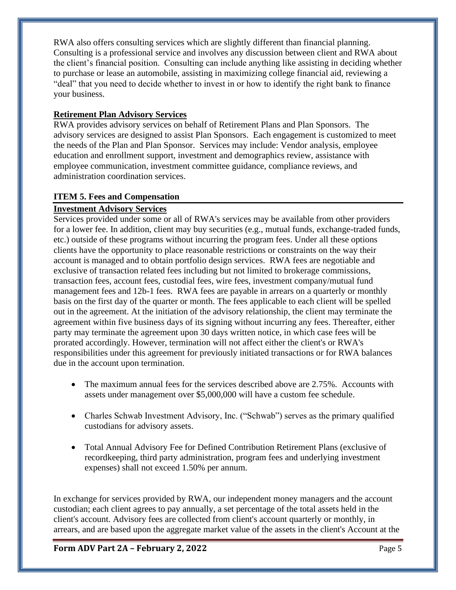RWA also offers consulting services which are slightly different than financial planning. Consulting is a professional service and involves any discussion between client and RWA about the client's financial position. Consulting can include anything like assisting in deciding whether to purchase or lease an automobile, assisting in maximizing college financial aid, reviewing a "deal" that you need to decide whether to invest in or how to identify the right bank to finance your business.

## **Retirement Plan Advisory Services**

RWA provides advisory services on behalf of Retirement Plans and Plan Sponsors. The advisory services are designed to assist Plan Sponsors. Each engagement is customized to meet the needs of the Plan and Plan Sponsor. Services may include: Vendor analysis, employee education and enrollment support, investment and demographics review, assistance with employee communication, investment committee guidance, compliance reviews, and administration coordination services.

## **ITEM 5. Fees and Compensation**

## **Investment Advisory Services**

Services provided under some or all of RWA's services may be available from other providers for a lower fee. In addition, client may buy securities (e.g., mutual funds, exchange-traded funds, etc.) outside of these programs without incurring the program fees. Under all these options clients have the opportunity to place reasonable restrictions or constraints on the way their account is managed and to obtain portfolio design services. RWA fees are negotiable and exclusive of transaction related fees including but not limited to brokerage commissions, transaction fees, account fees, custodial fees, wire fees, investment company/mutual fund management fees and 12b-1 fees. RWA fees are payable in arrears on a quarterly or monthly basis on the first day of the quarter or month. The fees applicable to each client will be spelled out in the agreement. At the initiation of the advisory relationship, the client may terminate the agreement within five business days of its signing without incurring any fees. Thereafter, either party may terminate the agreement upon 30 days written notice, in which case fees will be prorated accordingly. However, termination will not affect either the client's or RWA's responsibilities under this agreement for previously initiated transactions or for RWA balances due in the account upon termination.

- The maximum annual fees for the services described above are 2.75%. Accounts with assets under management over \$5,000,000 will have a custom fee schedule.
- Charles Schwab Investment Advisory, Inc. ("Schwab") serves as the primary qualified custodians for advisory assets.
- Total Annual Advisory Fee for Defined Contribution Retirement Plans (exclusive of recordkeeping, third party administration, program fees and underlying investment expenses) shall not exceed 1.50% per annum.

In exchange for services provided by RWA, our independent money managers and the account custodian; each client agrees to pay annually, a set percentage of the total assets held in the client's account. Advisory fees are collected from client's account quarterly or monthly, in arrears, and are based upon the aggregate market value of the assets in the client's Account at the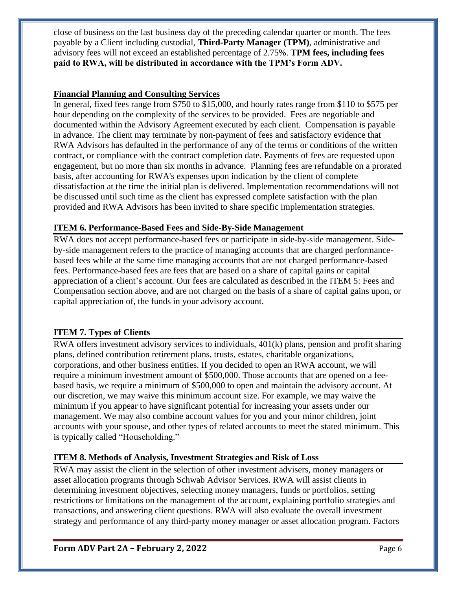close of business on the last business day of the preceding calendar quarter or month. The fees payable by a Client including custodial, **Third-Party Manager (TPM)**, administrative and advisory fees will not exceed an established percentage of 2.75%. **TPM fees, including fees paid to RWA, will be distributed in accordance with the TPM's Form ADV***.* 

### **Financial Planning and Consulting Services**

In general, fixed fees range from \$750 to \$15,000, and hourly rates range from \$110 to \$575 per hour depending on the complexity of the services to be provided. Fees are negotiable and documented within the Advisory Agreement executed by each client. Compensation is payable in advance. The client may terminate by non-payment of fees and satisfactory evidence that RWA Advisors has defaulted in the performance of any of the terms or conditions of the written contract, or compliance with the contract completion date. Payments of fees are requested upon engagement, but no more than six months in advance. Planning fees are refundable on a prorated basis, after accounting for RWA's expenses upon indication by the client of complete dissatisfaction at the time the initial plan is delivered. Implementation recommendations will not be discussed until such time as the client has expressed complete satisfaction with the plan provided and RWA Advisors has been invited to share specific implementation strategies.

#### **ITEM 6. Performance-Based Fees and Side-By-Side Management**

RWA does not accept performance-based fees or participate in side-by-side management. Sideby-side management refers to the practice of managing accounts that are charged performancebased fees while at the same time managing accounts that are not charged performance-based fees. Performance-based fees are fees that are based on a share of capital gains or capital appreciation of a client's account. Our fees are calculated as described in the ITEM 5: Fees and Compensation section above, and are not charged on the basis of a share of capital gains upon, or capital appreciation of, the funds in your advisory account.

### **ITEM 7. Types of Clients**

RWA offers investment advisory services to individuals, 401(k) plans, pension and profit sharing plans, defined contribution retirement plans, trusts, estates, charitable organizations, corporations, and other business entities. If you decided to open an RWA account, we will require a minimum investment amount of \$500,000. Those accounts that are opened on a feebased basis, we require a minimum of \$500,000 to open and maintain the advisory account. At our discretion, we may waive this minimum account size. For example, we may waive the minimum if you appear to have significant potential for increasing your assets under our management. We may also combine account values for you and your minor children, joint accounts with your spouse, and other types of related accounts to meet the stated minimum. This is typically called "Householding."

### **ITEM 8. Methods of Analysis, Investment Strategies and Risk of Loss**

RWA may assist the client in the selection of other investment advisers, money managers or asset allocation programs through Schwab Advisor Services. RWA will assist clients in determining investment objectives, selecting money managers, funds or portfolios, setting restrictions or limitations on the management of the account, explaining portfolio strategies and transactions, and answering client questions. RWA will also evaluate the overall investment strategy and performance of any third-party money manager or asset allocation program. Factors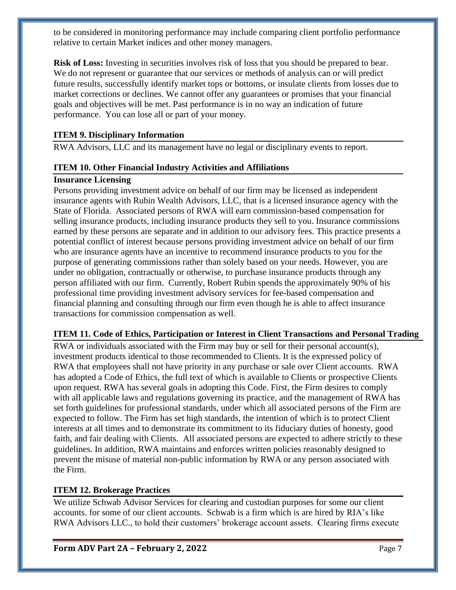to be considered in monitoring performance may include comparing client portfolio performance relative to certain Market indices and other money managers.

**Risk of Loss:** Investing in securities involves risk of loss that you should be prepared to bear. We do not represent or guarantee that our services or methods of analysis can or will predict future results, successfully identify market tops or bottoms, or insulate clients from losses due to market corrections or declines. We cannot offer any guarantees or promises that your financial goals and objectives will be met. Past performance is in no way an indication of future performance. You can lose all or part of your money.

#### **ITEM 9. Disciplinary Information**

RWA Advisors, LLC and its management have no legal or disciplinary events to report.

#### **ITEM 10. Other Financial Industry Activities and Affiliations**

#### **Insurance Licensing**

Persons providing investment advice on behalf of our firm may be licensed as independent insurance agents with Rubin Wealth Advisors, LLC, that is a licensed insurance agency with the State of Florida. Associated persons of RWA will earn commission-based compensation for selling insurance products, including insurance products they sell to you. Insurance commissions earned by these persons are separate and in addition to our advisory fees. This practice presents a potential conflict of interest because persons providing investment advice on behalf of our firm who are insurance agents have an incentive to recommend insurance products to you for the purpose of generating commissions rather than solely based on your needs. However, you are under no obligation, contractually or otherwise, to purchase insurance products through any person affiliated with our firm. Currently, Robert Rubin spends the approximately 90% of his professional time providing investment advisory services for fee-based compensation and financial planning and consulting through our firm even though he is able to affect insurance transactions for commission compensation as well.

#### **ITEM 11. Code of Ethics, Participation or Interest in Client Transactions and Personal Trading**

RWA or individuals associated with the Firm may buy or sell for their personal account(s), investment products identical to those recommended to Clients. It is the expressed policy of RWA that employees shall not have priority in any purchase or sale over Client accounts. RWA has adopted a Code of Ethics, the full text of which is available to Clients or prospective Clients upon request. RWA has several goals in adopting this Code. First, the Firm desires to comply with all applicable laws and regulations governing its practice, and the management of RWA has set forth guidelines for professional standards, under which all associated persons of the Firm are expected to follow. The Firm has set high standards, the intention of which is to protect Client interests at all times and to demonstrate its commitment to its fiduciary duties of honesty, good faith, and fair dealing with Clients. All associated persons are expected to adhere strictly to these guidelines. In addition, RWA maintains and enforces written policies reasonably designed to prevent the misuse of material non-public information by RWA or any person associated with the Firm.

#### **ITEM 12. Brokerage Practices**

We utilize Schwab Advisor Services for clearing and custodian purposes for some our client accounts. for some of our client accounts. Schwab is a firm which is are hired by RIA's like RWA Advisors LLC., to hold their customers' brokerage account assets. Clearing firms execute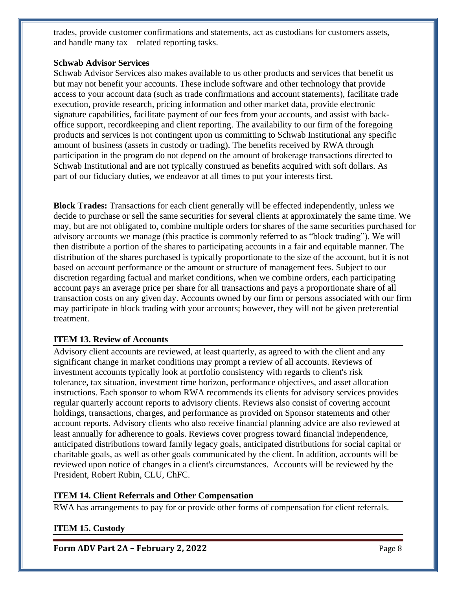trades, provide customer confirmations and statements, act as custodians for customers assets, and handle many tax – related reporting tasks.

#### **Schwab Advisor Services**

Schwab Advisor Services also makes available to us other products and services that benefit us but may not benefit your accounts. These include software and other technology that provide access to your account data (such as trade confirmations and account statements), facilitate trade execution, provide research, pricing information and other market data, provide electronic signature capabilities, facilitate payment of our fees from your accounts, and assist with backoffice support, recordkeeping and client reporting. The availability to our firm of the foregoing products and services is not contingent upon us committing to Schwab Institutional any specific amount of business (assets in custody or trading). The benefits received by RWA through participation in the program do not depend on the amount of brokerage transactions directed to Schwab Institutional and are not typically construed as benefits acquired with soft dollars. As part of our fiduciary duties, we endeavor at all times to put your interests first.

**Block Trades:** Transactions for each client generally will be effected independently, unless we decide to purchase or sell the same securities for several clients at approximately the same time. We may, but are not obligated to, combine multiple orders for shares of the same securities purchased for advisory accounts we manage (this practice is commonly referred to as "block trading"). We will then distribute a portion of the shares to participating accounts in a fair and equitable manner. The distribution of the shares purchased is typically proportionate to the size of the account, but it is not based on account performance or the amount or structure of management fees. Subject to our discretion regarding factual and market conditions, when we combine orders, each participating account pays an average price per share for all transactions and pays a proportionate share of all transaction costs on any given day. Accounts owned by our firm or persons associated with our firm may participate in block trading with your accounts; however, they will not be given preferential treatment.

#### **ITEM 13. Review of Accounts**

Advisory client accounts are reviewed, at least quarterly, as agreed to with the client and any significant change in market conditions may prompt a review of all accounts. Reviews of investment accounts typically look at portfolio consistency with regards to client's risk tolerance, tax situation, investment time horizon, performance objectives, and asset allocation instructions. Each sponsor to whom RWA recommends its clients for advisory services provides regular quarterly account reports to advisory clients. Reviews also consist of covering account holdings, transactions, charges, and performance as provided on Sponsor statements and other account reports. Advisory clients who also receive financial planning advice are also reviewed at least annually for adherence to goals. Reviews cover progress toward financial independence, anticipated distributions toward family legacy goals, anticipated distributions for social capital or charitable goals, as well as other goals communicated by the client. In addition, accounts will be reviewed upon notice of changes in a client's circumstances. Accounts will be reviewed by the President, Robert Rubin, CLU, ChFC.

#### **ITEM 14. Client Referrals and Other Compensation**

RWA has arrangements to pay for or provide other forms of compensation for client referrals.

#### **ITEM 15. Custody**